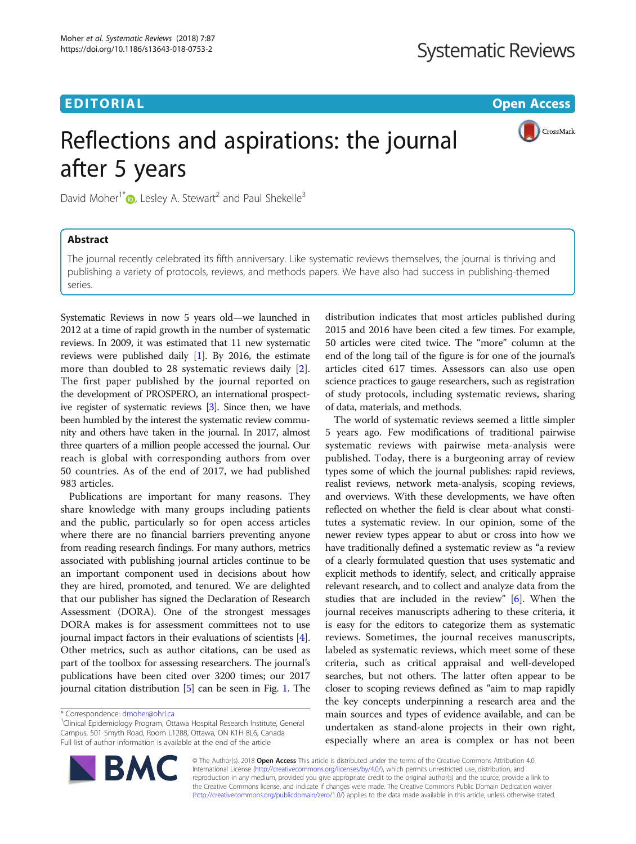# EDI TORIA L Op[en](http://crossmark.crossref.org/dialog/?doi=10.1186/s13643-018-0753-2&domain=pdf) [Access](http://crossmark.crossref.org/dialog/?doi=10.1186/s13643-018-0753-2&domain=pdf)

CrossMark

# Reflections and aspirations: the journal after 5 years

David Moher<sup>1\*</sup> $\bullet$ [,](http://orcid.org/0000-0003-2434-4206) Lesley A. Stewart<sup>2</sup> and Paul Shekelle<sup>3</sup>

# **Abstract**

The journal recently celebrated its fifth anniversary. Like systematic reviews themselves, the journal is thriving and publishing a variety of protocols, reviews, and methods papers. We have also had success in publishing-themed series.

Systematic Reviews in now 5 years old—we launched in 2012 at a time of rapid growth in the number of systematic reviews. In 2009, it was estimated that 11 new systematic reviews were published daily [\[1](#page-2-0)]. By 2016, the estimate more than doubled to 28 systematic reviews daily [\[2](#page-2-0)]. The first paper published by the journal reported on the development of PROSPERO, an international prospective register of systematic reviews [\[3](#page-2-0)]. Since then, we have been humbled by the interest the systematic review community and others have taken in the journal. In 2017, almost three quarters of a million people accessed the journal. Our reach is global with corresponding authors from over 50 countries. As of the end of 2017, we had published 983 articles.

Publications are important for many reasons. They share knowledge with many groups including patients and the public, particularly so for open access articles where there are no financial barriers preventing anyone from reading research findings. For many authors, metrics associated with publishing journal articles continue to be an important component used in decisions about how they are hired, promoted, and tenured. We are delighted that our publisher has signed the Declaration of Research Assessment (DORA). One of the strongest messages DORA makes is for assessment committees not to use journal impact factors in their evaluations of scientists [[4](#page-2-0)]. Other metrics, such as author citations, can be used as part of the toolbox for assessing researchers. The journal's publications have been cited over 3200 times; our 2017 journal citation distribution [\[5](#page-2-0)] can be seen in Fig. [1](#page-1-0). The

distribution indicates that most articles published during 2015 and 2016 have been cited a few times. For example, 50 articles were cited twice. The "more" column at the end of the long tail of the figure is for one of the journal's articles cited 617 times. Assessors can also use open science practices to gauge researchers, such as registration of study protocols, including systematic reviews, sharing of data, materials, and methods.

The world of systematic reviews seemed a little simpler 5 years ago. Few modifications of traditional pairwise systematic reviews with pairwise meta-analysis were published. Today, there is a burgeoning array of review types some of which the journal publishes: rapid reviews, realist reviews, network meta-analysis, scoping reviews, and overviews. With these developments, we have often reflected on whether the field is clear about what constitutes a systematic review. In our opinion, some of the newer review types appear to abut or cross into how we have traditionally defined a systematic review as "a review of a clearly formulated question that uses systematic and explicit methods to identify, select, and critically appraise relevant research, and to collect and analyze data from the studies that are included in the review" [\[6](#page-2-0)]. When the journal receives manuscripts adhering to these criteria, it is easy for the editors to categorize them as systematic reviews. Sometimes, the journal receives manuscripts, labeled as systematic reviews, which meet some of these criteria, such as critical appraisal and well-developed searches, but not others. The latter often appear to be closer to scoping reviews defined as "aim to map rapidly the key concepts underpinning a research area and the main sources and types of evidence available, and can be undertaken as stand-alone projects in their own right, especially where an area is complex or has not been



© The Author(s). 2018 Open Access This article is distributed under the terms of the Creative Commons Attribution 4.0 International License [\(http://creativecommons.org/licenses/by/4.0/](http://creativecommons.org/licenses/by/4.0/)), which permits unrestricted use, distribution, and reproduction in any medium, provided you give appropriate credit to the original author(s) and the source, provide a link to the Creative Commons license, and indicate if changes were made. The Creative Commons Public Domain Dedication waiver [\(http://creativecommons.org/publicdomain/zero/1.0/](http://creativecommons.org/publicdomain/zero/1.0/)) applies to the data made available in this article, unless otherwise stated.

<sup>\*</sup> Correspondence: [dmoher@ohri.ca](mailto:dmoher@ohri.ca) <sup>1</sup>

Clinical Epidemiology Program, Ottawa Hospital Research Institute, General Campus, 501 Smyth Road, Room L1288, Ottawa, ON K1H 8L6, Canada Full list of author information is available at the end of the article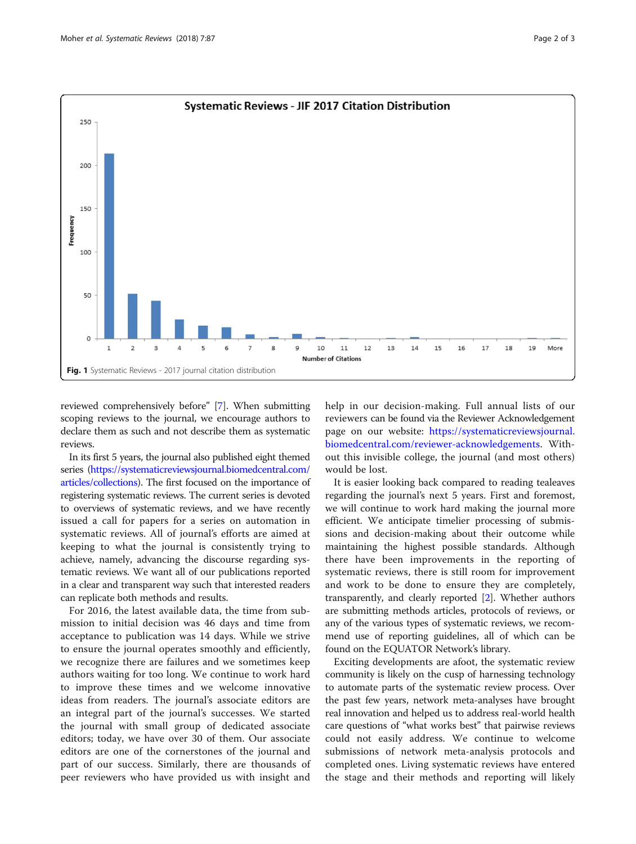<span id="page-1-0"></span>

reviewed comprehensively before" [[7\]](#page-2-0). When submitting scoping reviews to the journal, we encourage authors to declare them as such and not describe them as systematic reviews.

In its first 5 years, the journal also published eight themed series [\(https://systematicreviewsjournal.biomedcentral.com/](https://systematicreviewsjournal.biomedcentral.com/articles/collections) [articles/collections\)](https://systematicreviewsjournal.biomedcentral.com/articles/collections). The first focused on the importance of registering systematic reviews. The current series is devoted to overviews of systematic reviews, and we have recently issued a call for papers for a series on automation in systematic reviews. All of journal's efforts are aimed at keeping to what the journal is consistently trying to achieve, namely, advancing the discourse regarding systematic reviews. We want all of our publications reported in a clear and transparent way such that interested readers can replicate both methods and results.

For 2016, the latest available data, the time from submission to initial decision was 46 days and time from acceptance to publication was 14 days. While we strive to ensure the journal operates smoothly and efficiently, we recognize there are failures and we sometimes keep authors waiting for too long. We continue to work hard to improve these times and we welcome innovative ideas from readers. The journal's associate editors are an integral part of the journal's successes. We started the journal with small group of dedicated associate editors; today, we have over 30 of them. Our associate editors are one of the cornerstones of the journal and part of our success. Similarly, there are thousands of peer reviewers who have provided us with insight and help in our decision-making. Full annual lists of our reviewers can be found via the Reviewer Acknowledgement page on our website: [https://systematicreviewsjournal.](https://systematicreviewsjournal.biomedcentral.com/reviewer-acknowledgements) [biomedcentral.com/reviewer-acknowledgements.](https://systematicreviewsjournal.biomedcentral.com/reviewer-acknowledgements) Without this invisible college, the journal (and most others) would be lost.

It is easier looking back compared to reading tealeaves regarding the journal's next 5 years. First and foremost, we will continue to work hard making the journal more efficient. We anticipate timelier processing of submissions and decision-making about their outcome while maintaining the highest possible standards. Although there have been improvements in the reporting of systematic reviews, there is still room for improvement and work to be done to ensure they are completely, transparently, and clearly reported [\[2](#page-2-0)]. Whether authors are submitting methods articles, protocols of reviews, or any of the various types of systematic reviews, we recommend use of reporting guidelines, all of which can be found on the EQUATOR Network's library.

Exciting developments are afoot, the systematic review community is likely on the cusp of harnessing technology to automate parts of the systematic review process. Over the past few years, network meta-analyses have brought real innovation and helped us to address real-world health care questions of "what works best" that pairwise reviews could not easily address. We continue to welcome submissions of network meta-analysis protocols and completed ones. Living systematic reviews have entered the stage and their methods and reporting will likely